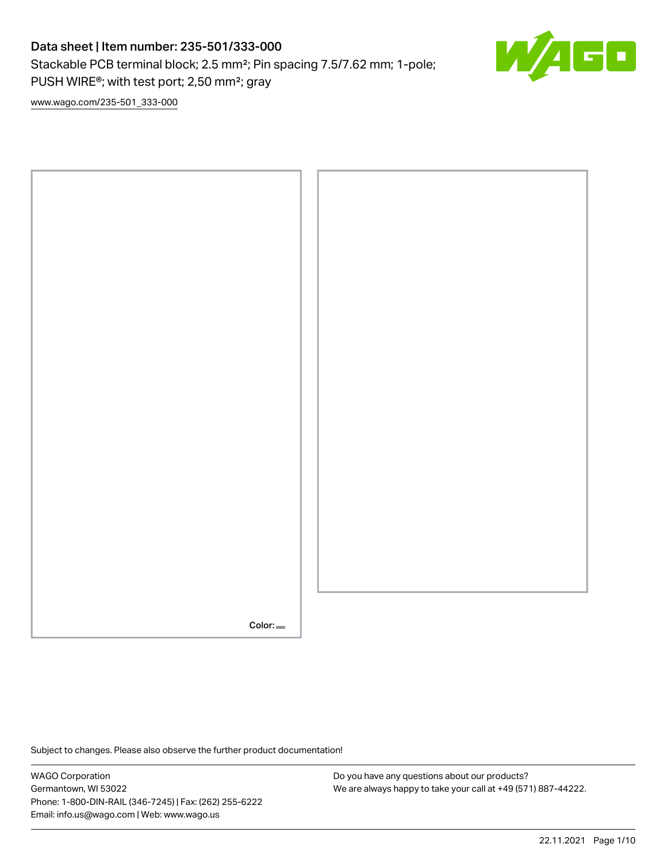# Data sheet | Item number: 235-501/333-000

Stackable PCB terminal block; 2.5 mm²; Pin spacing 7.5/7.62 mm; 1-pole; PUSH WIRE®; with test port; 2,50 mm²; gray



[www.wago.com/235-501\\_333-000](http://www.wago.com/235-501_333-000)



Subject to changes. Please also observe the further product documentation!

WAGO Corporation Germantown, WI 53022 Phone: 1-800-DIN-RAIL (346-7245) | Fax: (262) 255-6222 Email: info.us@wago.com | Web: www.wago.us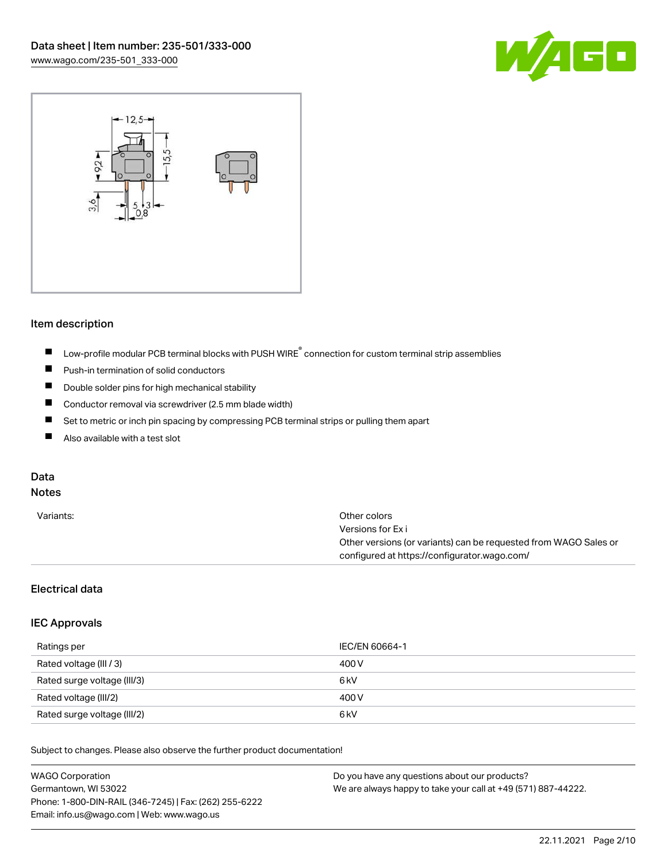



#### Item description

- $\blacksquare$ Low-profile modular PCB terminal blocks with PUSH WIRE<sup>®</sup> connection for custom terminal strip assemblies
- $\blacksquare$ Push-in termination of solid conductors
- $\blacksquare$ Double solder pins for high mechanical stability
- $\blacksquare$ Conductor removal via screwdriver (2.5 mm blade width)
- $\blacksquare$ Set to metric or inch pin spacing by compressing PCB terminal strips or pulling them apart
- $\blacksquare$ Also available with a test slot

# Data

# Notes

| Variants: | Other colors                                                     |
|-----------|------------------------------------------------------------------|
|           | Versions for Ex i                                                |
|           | Other versions (or variants) can be requested from WAGO Sales or |
|           | configured at https://configurator.wago.com/                     |
|           |                                                                  |

### Electrical data

#### IEC Approvals

| Ratings per                 | IEC/EN 60664-1   |
|-----------------------------|------------------|
| Rated voltage (III / 3)     | 400 V            |
| Rated surge voltage (III/3) | 6 kV             |
| Rated voltage (III/2)       | 400 V            |
| Rated surge voltage (III/2) | 6 <sub>k</sub> V |

Subject to changes. Please also observe the further product documentation!

| <b>WAGO Corporation</b>                                | Do you have any questions about our products?                 |
|--------------------------------------------------------|---------------------------------------------------------------|
| Germantown, WI 53022                                   | We are always happy to take your call at +49 (571) 887-44222. |
| Phone: 1-800-DIN-RAIL (346-7245)   Fax: (262) 255-6222 |                                                               |
| Email: info.us@wago.com   Web: www.wago.us             |                                                               |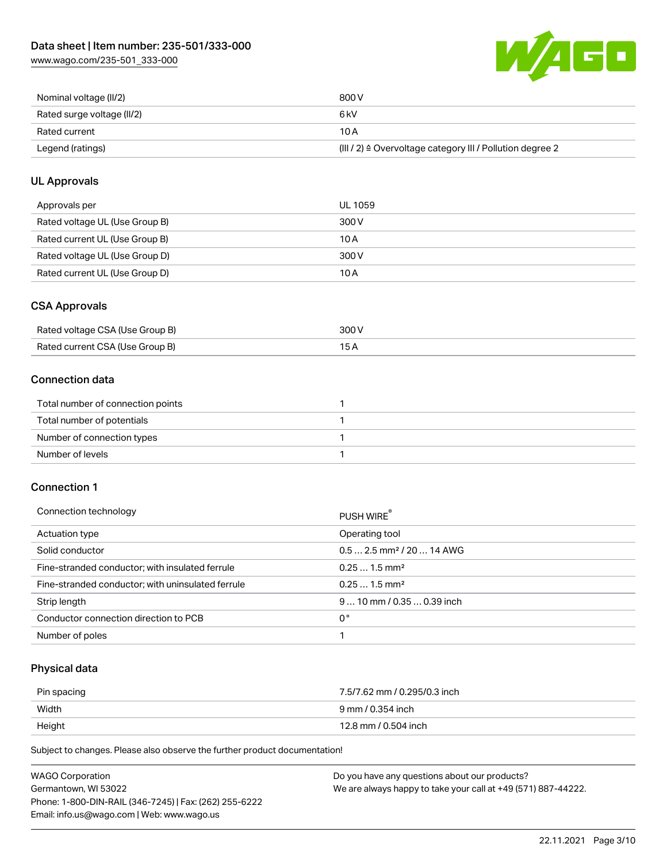[www.wago.com/235-501\\_333-000](http://www.wago.com/235-501_333-000)



| Nominal voltage (II/2)     | 800 V                                                                |
|----------------------------|----------------------------------------------------------------------|
| Rated surge voltage (II/2) | 6 kV                                                                 |
| Rated current              | 10 A                                                                 |
| Legend (ratings)           | (III / 2) $\triangleq$ Overvoltage category III / Pollution degree 2 |

# UL Approvals

| Approvals per                  | UL 1059 |
|--------------------------------|---------|
| Rated voltage UL (Use Group B) | 300 V   |
| Rated current UL (Use Group B) | 10 A    |
| Rated voltage UL (Use Group D) | 300 V   |
| Rated current UL (Use Group D) | 10 A    |

### CSA Approvals

| Rated voltage CSA (Use Group B) | 300 V |
|---------------------------------|-------|
| Rated current CSA (Use Group B) |       |

# Connection data

| Total number of connection points |  |
|-----------------------------------|--|
| Total number of potentials        |  |
| Number of connection types        |  |
| Number of levels                  |  |

#### Connection 1

| Connection technology                             | PUSH WIRE®                             |
|---------------------------------------------------|----------------------------------------|
| Actuation type                                    | Operating tool                         |
| Solid conductor                                   | $0.5$ 2.5 mm <sup>2</sup> / 20  14 AWG |
| Fine-stranded conductor; with insulated ferrule   | $0.251.5$ mm <sup>2</sup>              |
| Fine-stranded conductor; with uninsulated ferrule | $0.251.5$ mm <sup>2</sup>              |
| Strip length                                      | $910$ mm / 0.35  0.39 inch             |
| Conductor connection direction to PCB             | 0°                                     |
| Number of poles                                   |                                        |

#### Physical data

| Pin spacing | 7.5/7.62 mm / 0.295/0.3 inch |
|-------------|------------------------------|
| Width       | 9 mm / 0.354 inch            |
| Height      | 12.8 mm / 0.504 inch         |

Subject to changes. Please also observe the further product documentation!

| <b>WAGO Corporation</b>                                | Do you have any questions about our products?                 |
|--------------------------------------------------------|---------------------------------------------------------------|
| Germantown, WI 53022                                   | We are always happy to take your call at +49 (571) 887-44222. |
| Phone: 1-800-DIN-RAIL (346-7245)   Fax: (262) 255-6222 |                                                               |
| Email: info.us@wago.com   Web: www.wago.us             |                                                               |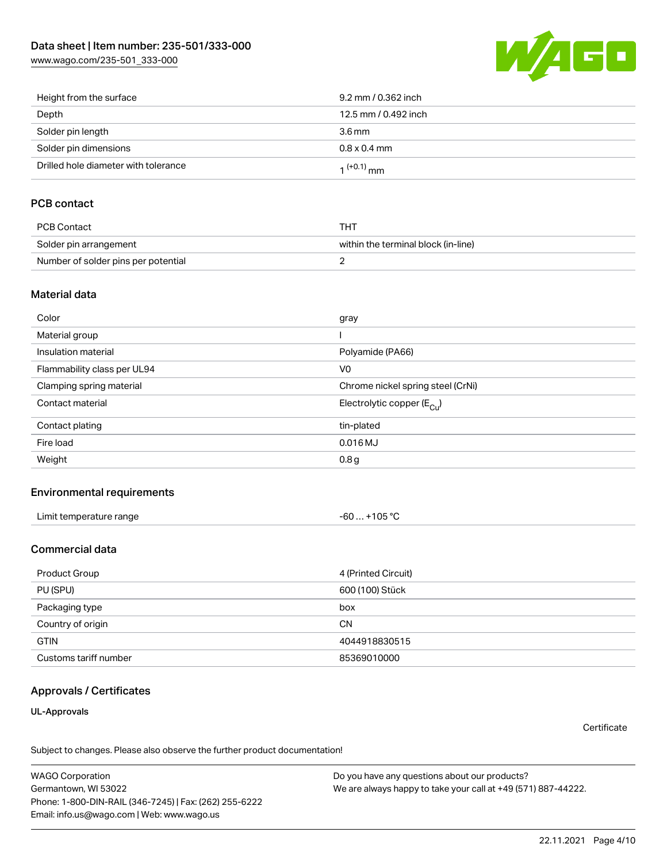[www.wago.com/235-501\\_333-000](http://www.wago.com/235-501_333-000)



| Height from the surface              | 9.2 mm / 0.362 inch  |
|--------------------------------------|----------------------|
| Depth                                | 12.5 mm / 0.492 inch |
| Solder pin length                    | $3.6 \,\mathrm{mm}$  |
| Solder pin dimensions                | $0.8 \times 0.4$ mm  |
| Drilled hole diameter with tolerance | $1^{(+0.1)}$ mm      |

### PCB contact

| PCB Contact                         | THT                                 |
|-------------------------------------|-------------------------------------|
| Solder pin arrangement              | within the terminal block (in-line) |
| Number of solder pins per potential |                                     |

#### Material data

| Color                       | gray                                   |
|-----------------------------|----------------------------------------|
| Material group              |                                        |
| Insulation material         | Polyamide (PA66)                       |
| Flammability class per UL94 | V <sub>0</sub>                         |
| Clamping spring material    | Chrome nickel spring steel (CrNi)      |
| Contact material            | Electrolytic copper (E <sub>Cu</sub> ) |
| Contact plating             | tin-plated                             |
| Fire load                   | $0.016$ MJ                             |
| Weight                      | 0.8 <sub>g</sub>                       |

#### Environmental requirements

| Limit temperature range<br>the contract of the contract of the contract of the contract of the contract of the contract of the contract of | $-60+105 °C$ |
|--------------------------------------------------------------------------------------------------------------------------------------------|--------------|
|--------------------------------------------------------------------------------------------------------------------------------------------|--------------|

#### Commercial data

| Product Group         | 4 (Printed Circuit) |
|-----------------------|---------------------|
| PU (SPU)              | 600 (100) Stück     |
| Packaging type        | box                 |
| Country of origin     | <b>CN</b>           |
| <b>GTIN</b>           | 4044918830515       |
| Customs tariff number | 85369010000         |

### Approvals / Certificates

#### UL-Approvals

**Certificate** 

Subject to changes. Please also observe the further product documentation!

WAGO Corporation Germantown, WI 53022 Phone: 1-800-DIN-RAIL (346-7245) | Fax: (262) 255-6222 Email: info.us@wago.com | Web: www.wago.us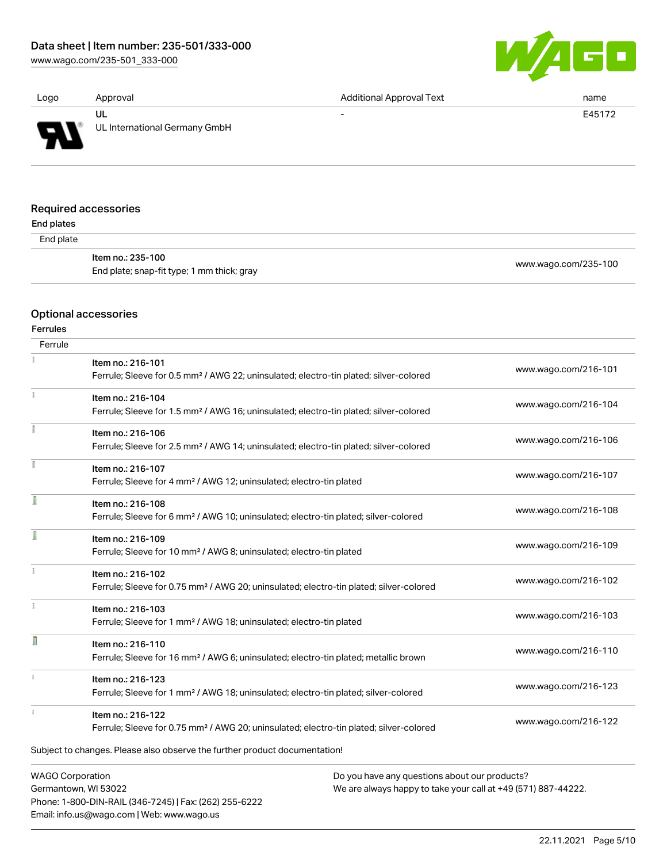Phone: 1-800-DIN-RAIL (346-7245) | Fax: (262) 255-6222

Email: info.us@wago.com | Web: www.wago.us

[www.wago.com/235-501\\_333-000](http://www.wago.com/235-501_333-000)



| Logo                 | Approval                      | <b>Additional Approval Text</b> | name   |
|----------------------|-------------------------------|---------------------------------|--------|
|                      | UL                            | $\overline{\phantom{0}}$        | E45172 |
| <b>AT</b>            | UL International Germany GmbH |                                 |        |
|                      |                               |                                 |        |
| Required accessories |                               |                                 |        |
| End plates           |                               |                                 |        |

 $E<sub>n</sub>$ 

| uuw     |                                                                 |                      |
|---------|-----------------------------------------------------------------|----------------------|
| d plate |                                                                 |                      |
|         | ltem no.: 235-100<br>End plate; snap-fit type; 1 mm thick; gray | www.wago.com/235-100 |

# Optional accessories

Ferrules

| Ferrule                 |                                                                                                    |                                                               |                      |
|-------------------------|----------------------------------------------------------------------------------------------------|---------------------------------------------------------------|----------------------|
|                         | Item no.: 216-101                                                                                  |                                                               | www.wago.com/216-101 |
|                         | Ferrule; Sleeve for 0.5 mm <sup>2</sup> / AWG 22; uninsulated; electro-tin plated; silver-colored  |                                                               |                      |
|                         | Item no.: 216-104                                                                                  |                                                               |                      |
|                         | Ferrule; Sleeve for 1.5 mm <sup>2</sup> / AWG 16; uninsulated; electro-tin plated; silver-colored  |                                                               | www.wago.com/216-104 |
|                         | Item no.: 216-106                                                                                  |                                                               |                      |
|                         | Ferrule; Sleeve for 2.5 mm <sup>2</sup> / AWG 14; uninsulated; electro-tin plated; silver-colored  |                                                               | www.wago.com/216-106 |
|                         | Item no.: 216-107                                                                                  |                                                               |                      |
|                         | Ferrule; Sleeve for 4 mm <sup>2</sup> / AWG 12; uninsulated; electro-tin plated                    |                                                               | www.wago.com/216-107 |
|                         | Item no.: 216-108                                                                                  |                                                               |                      |
|                         | Ferrule; Sleeve for 6 mm <sup>2</sup> / AWG 10; uninsulated; electro-tin plated; silver-colored    |                                                               | www.wago.com/216-108 |
|                         | Item no.: 216-109                                                                                  |                                                               |                      |
|                         | Ferrule; Sleeve for 10 mm <sup>2</sup> / AWG 8; uninsulated; electro-tin plated                    |                                                               | www.wago.com/216-109 |
|                         | Item no.: 216-102                                                                                  |                                                               |                      |
|                         | Ferrule; Sleeve for 0.75 mm <sup>2</sup> / AWG 20; uninsulated; electro-tin plated; silver-colored |                                                               | www.wago.com/216-102 |
|                         | Item no.: 216-103                                                                                  |                                                               |                      |
|                         | Ferrule; Sleeve for 1 mm <sup>2</sup> / AWG 18; uninsulated; electro-tin plated                    |                                                               | www.wago.com/216-103 |
| R                       | Item no.: 216-110                                                                                  |                                                               |                      |
|                         | Ferrule; Sleeve for 16 mm <sup>2</sup> / AWG 6; uninsulated; electro-tin plated; metallic brown    |                                                               | www.wago.com/216-110 |
|                         | Item no.: 216-123                                                                                  |                                                               |                      |
|                         | Ferrule; Sleeve for 1 mm <sup>2</sup> / AWG 18; uninsulated; electro-tin plated; silver-colored    |                                                               | www.wago.com/216-123 |
|                         | Item no.: 216-122                                                                                  |                                                               |                      |
|                         | Ferrule; Sleeve for 0.75 mm <sup>2</sup> / AWG 20; uninsulated; electro-tin plated; silver-colored |                                                               | www.wago.com/216-122 |
|                         | Subject to changes. Please also observe the further product documentation!                         |                                                               |                      |
| <b>WAGO Corporation</b> |                                                                                                    | Do you have any questions about our products?                 |                      |
| Germantown, WI 53022    |                                                                                                    | We are always happy to take your call at +49 (571) 887-44222. |                      |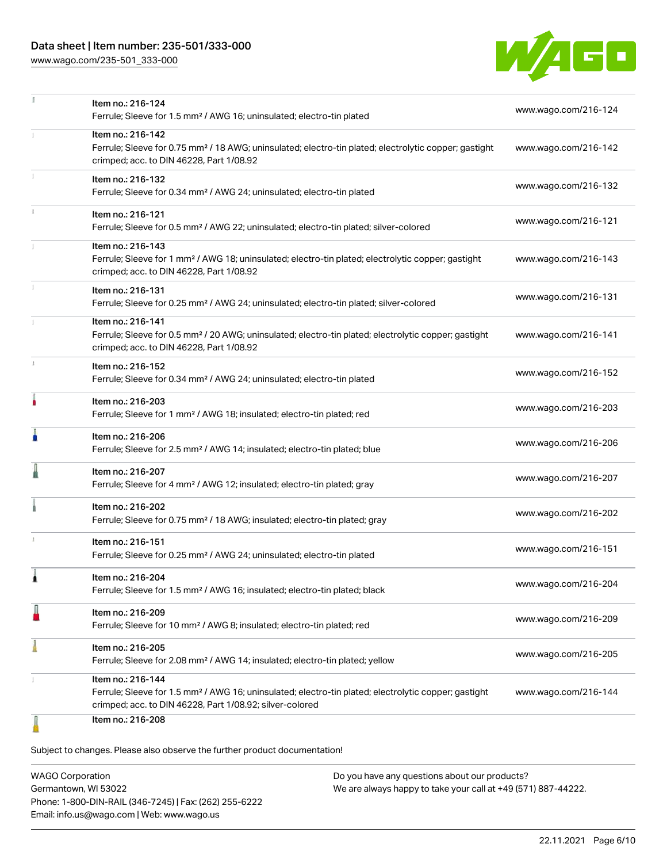# Data sheet | Item number: 235-501/333-000

[www.wago.com/235-501\\_333-000](http://www.wago.com/235-501_333-000)



|   | Item no.: 216-124<br>Ferrule; Sleeve for 1.5 mm <sup>2</sup> / AWG 16; uninsulated; electro-tin plated                                                                                            | www.wago.com/216-124 |  |
|---|---------------------------------------------------------------------------------------------------------------------------------------------------------------------------------------------------|----------------------|--|
|   | Item no.: 216-142<br>Ferrule; Sleeve for 0.75 mm <sup>2</sup> / 18 AWG; uninsulated; electro-tin plated; electrolytic copper; gastight<br>crimped; acc. to DIN 46228, Part 1/08.92                | www.wago.com/216-142 |  |
|   | Item no.: 216-132<br>Ferrule; Sleeve for 0.34 mm <sup>2</sup> / AWG 24; uninsulated; electro-tin plated                                                                                           | www.wago.com/216-132 |  |
|   | Item no.: 216-121<br>Ferrule; Sleeve for 0.5 mm <sup>2</sup> / AWG 22; uninsulated; electro-tin plated; silver-colored                                                                            | www.wago.com/216-121 |  |
|   | Item no.: 216-143<br>Ferrule; Sleeve for 1 mm <sup>2</sup> / AWG 18; uninsulated; electro-tin plated; electrolytic copper; gastight<br>crimped; acc. to DIN 46228, Part 1/08.92                   | www.wago.com/216-143 |  |
|   | Item no.: 216-131<br>Ferrule; Sleeve for 0.25 mm <sup>2</sup> / AWG 24; uninsulated; electro-tin plated; silver-colored                                                                           | www.wago.com/216-131 |  |
|   | Item no.: 216-141<br>Ferrule; Sleeve for 0.5 mm <sup>2</sup> / 20 AWG; uninsulated; electro-tin plated; electrolytic copper; gastight<br>crimped; acc. to DIN 46228, Part 1/08.92                 | www.wago.com/216-141 |  |
|   | Item no.: 216-152<br>Ferrule; Sleeve for 0.34 mm <sup>2</sup> / AWG 24; uninsulated; electro-tin plated                                                                                           | www.wago.com/216-152 |  |
| ۸ | Item no.: 216-203<br>Ferrule; Sleeve for 1 mm <sup>2</sup> / AWG 18; insulated; electro-tin plated; red                                                                                           | www.wago.com/216-203 |  |
| A | Item no.: 216-206<br>Ferrule; Sleeve for 2.5 mm <sup>2</sup> / AWG 14; insulated; electro-tin plated; blue                                                                                        | www.wago.com/216-206 |  |
|   | Item no.: 216-207<br>Ferrule; Sleeve for 4 mm <sup>2</sup> / AWG 12; insulated; electro-tin plated; gray                                                                                          | www.wago.com/216-207 |  |
|   | Item no.: 216-202<br>Ferrule; Sleeve for 0.75 mm <sup>2</sup> / 18 AWG; insulated; electro-tin plated; gray                                                                                       | www.wago.com/216-202 |  |
|   | Item no.: 216-151<br>Ferrule; Sleeve for 0.25 mm <sup>2</sup> / AWG 24; uninsulated; electro-tin plated                                                                                           | www.wago.com/216-151 |  |
|   | Item no.: 216-204<br>Ferrule; Sleeve for 1.5 mm <sup>2</sup> / AWG 16; insulated; electro-tin plated; black                                                                                       | www.wago.com/216-204 |  |
| ł | Item no.: 216-209<br>Ferrule; Sleeve for 10 mm <sup>2</sup> / AWG 8; insulated; electro-tin plated; red                                                                                           | www.wago.com/216-209 |  |
|   | Item no.: 216-205<br>Ferrule; Sleeve for 2.08 mm <sup>2</sup> / AWG 14; insulated; electro-tin plated; yellow                                                                                     | www.wago.com/216-205 |  |
|   | Item no.: 216-144<br>Ferrule; Sleeve for 1.5 mm <sup>2</sup> / AWG 16; uninsulated; electro-tin plated; electrolytic copper; gastight<br>crimped; acc. to DIN 46228, Part 1/08.92; silver-colored | www.wago.com/216-144 |  |
|   | Item no.: 216-208                                                                                                                                                                                 |                      |  |

Subject to changes. Please also observe the further product documentation!

WAGO Corporation Germantown, WI 53022 Phone: 1-800-DIN-RAIL (346-7245) | Fax: (262) 255-6222 Email: info.us@wago.com | Web: www.wago.us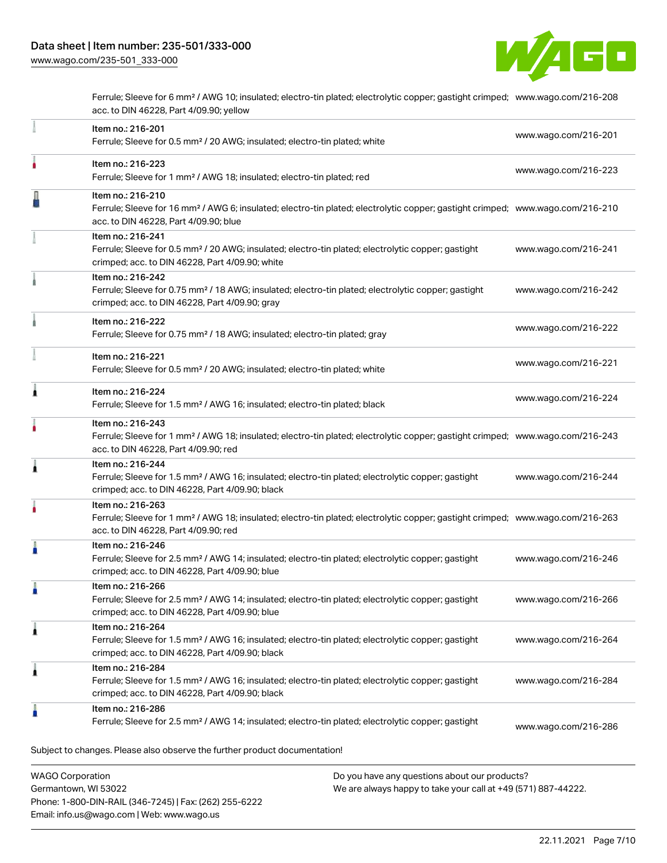

Ferrule; Sleeve for 6 mm² / AWG 10; insulated; electro-tin plated; electrolytic copper; gastight crimped; [www.wago.com/216-208](http://www.wago.com/216-208) acc. to DIN 46228, Part 4/09.90; yellow

|   | acc. to DIN 46228, Part 4/09.90; red                                                                                                                                                                    |                      |
|---|---------------------------------------------------------------------------------------------------------------------------------------------------------------------------------------------------------|----------------------|
| 1 | Item no.: 216-244<br>Ferrule; Sleeve for 1.5 mm <sup>2</sup> / AWG 16; insulated; electro-tin plated; electrolytic copper; gastight<br>crimped; acc. to DIN 46228, Part 4/09.90; black                  | www.wago.com/216-244 |
| ٥ | Item no.: 216-263<br>Ferrule; Sleeve for 1 mm <sup>2</sup> / AWG 18; insulated; electro-tin plated; electrolytic copper; gastight crimped; www.wago.com/216-263<br>acc. to DIN 46228, Part 4/09.90; red |                      |
| п | Item no.: 216-246<br>Ferrule; Sleeve for 2.5 mm <sup>2</sup> / AWG 14; insulated; electro-tin plated; electrolytic copper; gastight<br>crimped; acc. to DIN 46228, Part 4/09.90; blue                   | www.wago.com/216-246 |
|   | Item no.: 216-266<br>Ferrule; Sleeve for 2.5 mm <sup>2</sup> / AWG 14; insulated; electro-tin plated; electrolytic copper; gastight<br>crimped; acc. to DIN 46228, Part 4/09.90; blue                   | www.wago.com/216-266 |
| 1 | Item no.: 216-264<br>Ferrule; Sleeve for 1.5 mm <sup>2</sup> / AWG 16; insulated; electro-tin plated; electrolytic copper; gastight<br>crimped; acc. to DIN 46228, Part 4/09.90; black                  | www.wago.com/216-264 |
| 1 | Item no.: 216-284<br>Ferrule; Sleeve for 1.5 mm <sup>2</sup> / AWG 16; insulated; electro-tin plated; electrolytic copper; gastight<br>crimped; acc. to DIN 46228, Part 4/09.90; black                  | www.wago.com/216-284 |
|   | Item no.: 216-286                                                                                                                                                                                       |                      |

Germantown, WI 53022 Phone: 1-800-DIN-RAIL (346-7245) | Fax: (262) 255-6222 Email: info.us@wago.com | Web: www.wago.us

We are always happy to take your call at +49 (571) 887-44222.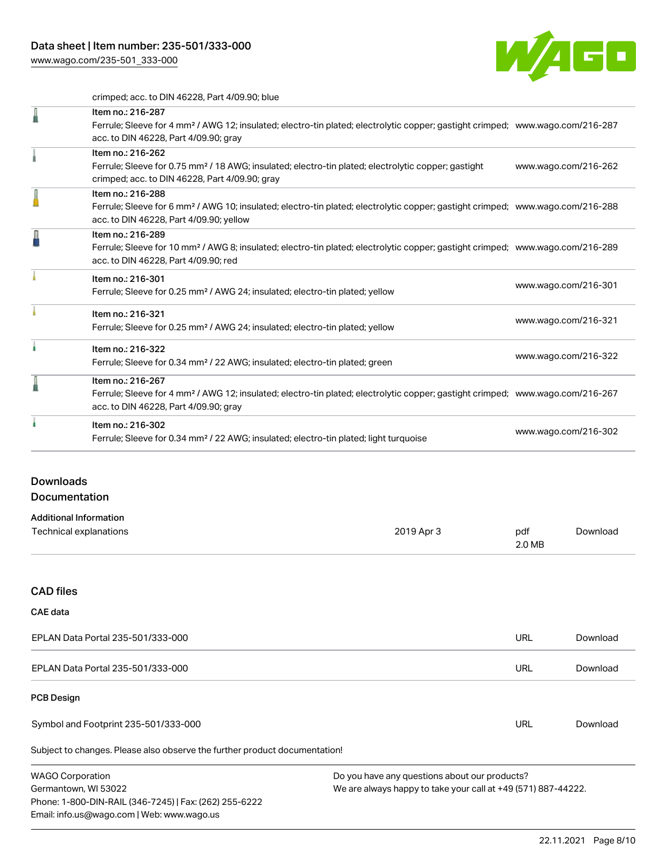[www.wago.com/235-501\\_333-000](http://www.wago.com/235-501_333-000)



crimped; acc. to DIN 46228, Part 4/09.90; blue

|                                                                            | Crimped, acc. to Dirv 40220, Failt 4/09.90, Dide                                                                                                                                                           |            |                      |          |
|----------------------------------------------------------------------------|------------------------------------------------------------------------------------------------------------------------------------------------------------------------------------------------------------|------------|----------------------|----------|
|                                                                            | Item no.: 216-287<br>Ferrule; Sleeve for 4 mm <sup>2</sup> / AWG 12; insulated; electro-tin plated; electrolytic copper; gastight crimped; www.wago.com/216-287<br>acc. to DIN 46228, Part 4/09.90; gray   |            |                      |          |
|                                                                            | Item no.: 216-262<br>Ferrule; Sleeve for 0.75 mm <sup>2</sup> / 18 AWG; insulated; electro-tin plated; electrolytic copper; gastight<br>crimped; acc. to DIN 46228, Part 4/09.90; gray                     |            | www.wago.com/216-262 |          |
|                                                                            | Item no.: 216-288<br>Ferrule; Sleeve for 6 mm <sup>2</sup> / AWG 10; insulated; electro-tin plated; electrolytic copper; gastight crimped; www.wago.com/216-288<br>acc. to DIN 46228, Part 4/09.90; yellow |            |                      |          |
|                                                                            | Item no.: 216-289<br>Ferrule; Sleeve for 10 mm <sup>2</sup> / AWG 8; insulated; electro-tin plated; electrolytic copper; gastight crimped; www.wago.com/216-289<br>acc. to DIN 46228, Part 4/09.90; red    |            |                      |          |
|                                                                            | Item no.: 216-301<br>Ferrule; Sleeve for 0.25 mm <sup>2</sup> / AWG 24; insulated; electro-tin plated; yellow                                                                                              |            | www.wago.com/216-301 |          |
|                                                                            | Item no.: 216-321<br>Ferrule; Sleeve for 0.25 mm <sup>2</sup> / AWG 24; insulated; electro-tin plated; yellow                                                                                              |            | www.wago.com/216-321 |          |
| ۸                                                                          | Item no.: 216-322<br>Ferrule; Sleeve for 0.34 mm <sup>2</sup> / 22 AWG; insulated; electro-tin plated; green                                                                                               |            | www.wago.com/216-322 |          |
|                                                                            | Item no.: 216-267<br>Ferrule; Sleeve for 4 mm <sup>2</sup> / AWG 12; insulated; electro-tin plated; electrolytic copper; gastight crimped; www.wago.com/216-267<br>acc. to DIN 46228, Part 4/09.90; gray   |            |                      |          |
|                                                                            | Item no.: 216-302<br>Ferrule; Sleeve for 0.34 mm <sup>2</sup> / 22 AWG; insulated; electro-tin plated; light turquoise                                                                                     |            | www.wago.com/216-302 |          |
| <b>Downloads</b>                                                           |                                                                                                                                                                                                            |            |                      |          |
| Documentation                                                              |                                                                                                                                                                                                            |            |                      |          |
| <b>Additional Information</b><br>Technical explanations                    |                                                                                                                                                                                                            | 2019 Apr 3 | pdf<br>2.0 MB        | Download |
| <b>CAD files</b>                                                           |                                                                                                                                                                                                            |            |                      |          |
| <b>CAE</b> data                                                            |                                                                                                                                                                                                            |            |                      |          |
| EPLAN Data Portal 235-501/333-000                                          |                                                                                                                                                                                                            | URL        | Download             |          |
| EPLAN Data Portal 235-501/333-000                                          |                                                                                                                                                                                                            | <b>URL</b> | Download             |          |
| <b>PCB Design</b>                                                          |                                                                                                                                                                                                            |            |                      |          |
| Symbol and Footprint 235-501/333-000                                       |                                                                                                                                                                                                            | URL        | Download             |          |
| Subject to changes. Please also observe the further product documentation! |                                                                                                                                                                                                            |            |                      |          |

WAGO Corporation Germantown, WI 53022 Phone: 1-800-DIN-RAIL (346-7245) | Fax: (262) 255-6222 Email: info.us@wago.com | Web: www.wago.us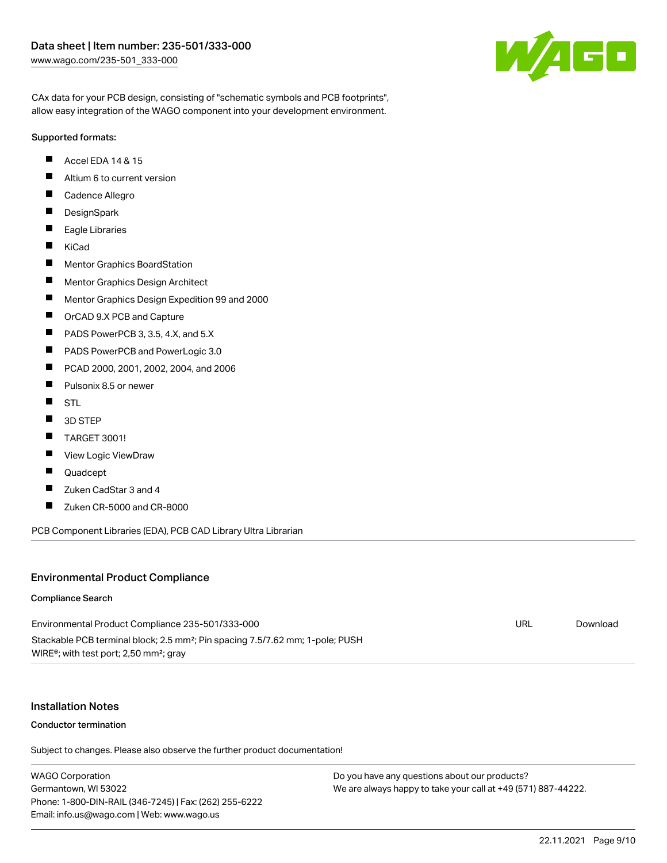

CAx data for your PCB design, consisting of "schematic symbols and PCB footprints", allow easy integration of the WAGO component into your development environment.

#### Supported formats:

- $\blacksquare$ Accel EDA 14 & 15
- $\blacksquare$ Altium 6 to current version
- $\blacksquare$ Cadence Allegro
- П **DesignSpark**
- $\blacksquare$ Eagle Libraries
- $\blacksquare$ KiCad
- $\blacksquare$ Mentor Graphics BoardStation
- $\blacksquare$ Mentor Graphics Design Architect
- $\blacksquare$ Mentor Graphics Design Expedition 99 and 2000
- П OrCAD 9.X PCB and Capture
- $\blacksquare$ PADS PowerPCB 3, 3.5, 4.X, and 5.X
- $\blacksquare$ PADS PowerPCB and PowerLogic 3.0
- $\blacksquare$ PCAD 2000, 2001, 2002, 2004, and 2006
- $\blacksquare$ Pulsonix 8.5 or newer
- $\blacksquare$ STL
- $\blacksquare$ 3D STEP
- $\blacksquare$ TARGET 3001!
- $\blacksquare$ View Logic ViewDraw
- П Quadcept
- П Zuken CadStar 3 and 4
- $\blacksquare$ Zuken CR-5000 and CR-8000

PCB Component Libraries (EDA), PCB CAD Library Ultra Librarian

#### Environmental Product Compliance

#### Compliance Search

Environmental Product Compliance 235-501/333-000 Stackable PCB terminal block; 2.5 mm²; Pin spacing 7.5/7.62 mm; 1-pole; PUSH WIRE®; with test port; 2,50 mm²; gray

#### Installation Notes

#### Conductor termination

Subject to changes. Please also observe the further product documentation!

WAGO Corporation Germantown, WI 53022 Phone: 1-800-DIN-RAIL (346-7245) | Fax: (262) 255-6222 Email: info.us@wago.com | Web: www.wago.us Do you have any questions about our products? We are always happy to take your call at +49 (571) 887-44222.

URL [Download](https://www.wago.com/global/d/ComplianceLinkMediaContainer_235-501_333-000)